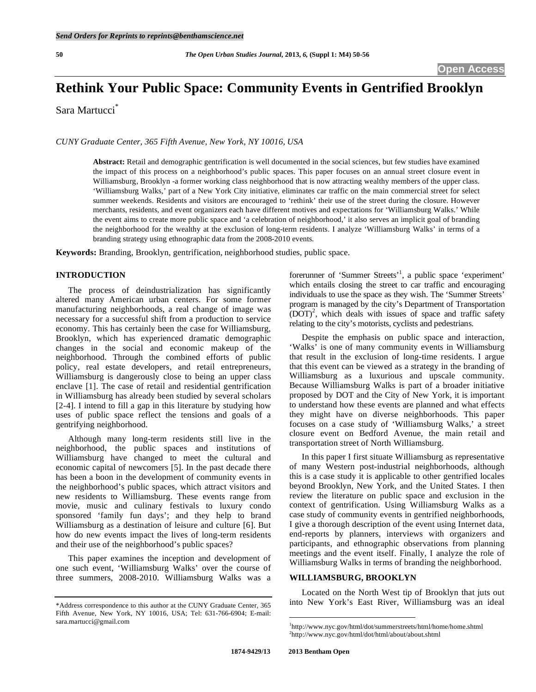# **Rethink Your Public Space: Community Events in Gentrified Brooklyn**

Sara Martucci\*

*CUNY Graduate Center, 365 Fifth Avenue, New York, NY 10016, USA* 

**Abstract:** Retail and demographic gentrification is well documented in the social sciences, but few studies have examined the impact of this process on a neighborhood's public spaces. This paper focuses on an annual street closure event in Williamsburg, Brooklyn -a former working class neighborhood that is now attracting wealthy members of the upper class. 'Williamsburg Walks,' part of a New York City initiative, eliminates car traffic on the main commercial street for select summer weekends. Residents and visitors are encouraged to 'rethink' their use of the street during the closure. However merchants, residents, and event organizers each have different motives and expectations for 'Williamsburg Walks.' While the event aims to create more public space and 'a celebration of neighborhood,' it also serves an implicit goal of branding the neighborhood for the wealthy at the exclusion of long-term residents. I analyze 'Williamsburg Walks' in terms of a branding strategy using ethnographic data from the 2008-2010 events.

**Keywords:** Branding, Brooklyn, gentrification, neighborhood studies, public space.

## **INTRODUCTION**

 The process of deindustrialization has significantly altered many American urban centers. For some former manufacturing neighborhoods, a real change of image was necessary for a successful shift from a production to service economy. This has certainly been the case for Williamsburg, Brooklyn, which has experienced dramatic demographic changes in the social and economic makeup of the neighborhood. Through the combined efforts of public policy, real estate developers, and retail entrepreneurs, Williamsburg is dangerously close to being an upper class enclave [1]. The case of retail and residential gentrification in Williamsburg has already been studied by several scholars [2-4]. I intend to fill a gap in this literature by studying how uses of public space reflect the tensions and goals of a gentrifying neighborhood.

 Although many long-term residents still live in the neighborhood, the public spaces and institutions of Williamsburg have changed to meet the cultural and economic capital of newcomers [5]. In the past decade there has been a boon in the development of community events in the neighborhood's public spaces, which attract visitors and new residents to Williamsburg. These events range from movie, music and culinary festivals to luxury condo sponsored 'family fun days'; and they help to brand Williamsburg as a destination of leisure and culture [6]. But how do new events impact the lives of long-term residents and their use of the neighborhood's public spaces?

 This paper examines the inception and development of one such event, 'Williamsburg Walks' over the course of three summers, 2008-2010. Williamsburg Walks was a

forerunner of 'Summer Streets'<sup>1</sup>, a public space 'experiment' which entails closing the street to car traffic and encouraging individuals to use the space as they wish. The 'Summer Streets' program is managed by the city's Department of Transportation  $(DOT)^2$ , which deals with issues of space and traffic safety relating to the city's motorists, cyclists and pedestrians.

 Despite the emphasis on public space and interaction, 'Walks' is one of many community events in Williamsburg that result in the exclusion of long-time residents. I argue that this event can be viewed as a strategy in the branding of Williamsburg as a luxurious and upscale community. Because Williamsburg Walks is part of a broader initiative proposed by DOT and the City of New York, it is important to understand how these events are planned and what effects they might have on diverse neighborhoods. This paper focuses on a case study of 'Williamsburg Walks,' a street closure event on Bedford Avenue, the main retail and transportation street of North Williamsburg.

 In this paper I first situate Williamsburg as representative of many Western post-industrial neighborhoods, although this is a case study it is applicable to other gentrified locales beyond Brooklyn, New York, and the United States. I then review the literature on public space and exclusion in the context of gentrification. Using Williamsburg Walks as a case study of community events in gentrified neighborhoods, I give a thorough description of the event using Internet data, end-reports by planners, interviews with organizers and participants, and ethnographic observations from planning meetings and the event itself. Finally, I analyze the role of Williamsburg Walks in terms of branding the neighborhood.

# **WILLIAMSBURG, BROOKLYN**

 Located on the North West tip of Brooklyn that juts out into New York's East River, Williamsburg was an ideal

1

<sup>\*</sup>Address correspondence to this author at the CUNY Graduate Center, 365 Fifth Avenue, New York, NY 10016, USA; Tel: 631-766-6904; E-mail: sara.martucci@gmail.com

<sup>&</sup>lt;sup>1</sup>http://www.nyc.gov/html/dot/summerstreets/html/home/home.shtml http://www.nyc.gov/html/dot/html/about/about.shtml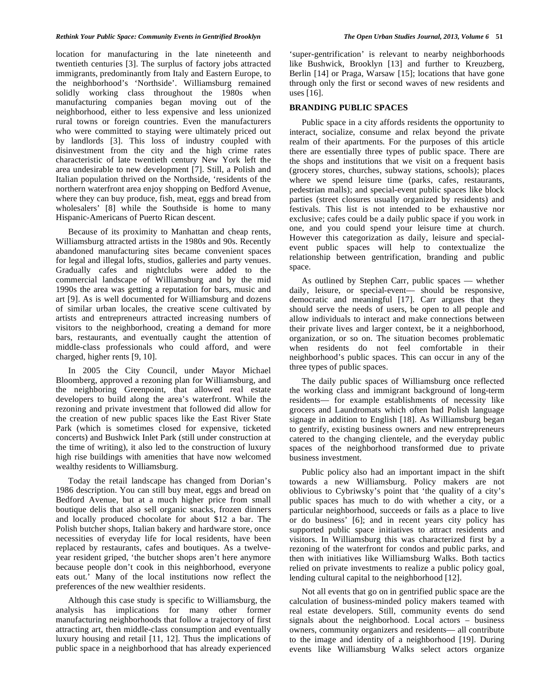#### *Rethink Your Public Space: Community Events in Gentrified Brooklyn The Open Urban Studies Journal, 2013, Volume 6* **51**

location for manufacturing in the late nineteenth and twentieth centuries [3]. The surplus of factory jobs attracted immigrants, predominantly from Italy and Eastern Europe, to the neighborhood's 'Northside'. Williamsburg remained solidly working class throughout the 1980s when manufacturing companies began moving out of the neighborhood, either to less expensive and less unionized rural towns or foreign countries. Even the manufacturers who were committed to staying were ultimately priced out by landlords [3]. This loss of industry coupled with disinvestment from the city and the high crime rates characteristic of late twentieth century New York left the area undesirable to new development [7]. Still, a Polish and Italian population thrived on the Northside, 'residents of the northern waterfront area enjoy shopping on Bedford Avenue, where they can buy produce, fish, meat, eggs and bread from wholesalers' [8] while the Southside is home to many Hispanic-Americans of Puerto Rican descent.

 Because of its proximity to Manhattan and cheap rents, Williamsburg attracted artists in the 1980s and 90s. Recently abandoned manufacturing sites became convenient spaces for legal and illegal lofts, studios, galleries and party venues. Gradually cafes and nightclubs were added to the commercial landscape of Williamsburg and by the mid 1990s the area was getting a reputation for bars, music and art [9]. As is well documented for Williamsburg and dozens of similar urban locales, the creative scene cultivated by artists and entrepreneurs attracted increasing numbers of visitors to the neighborhood, creating a demand for more bars, restaurants, and eventually caught the attention of middle-class professionals who could afford, and were charged, higher rents [9, 10].

 In 2005 the City Council, under Mayor Michael Bloomberg, approved a rezoning plan for Williamsburg, and the neighboring Greenpoint, that allowed real estate developers to build along the area's waterfront. While the rezoning and private investment that followed did allow for the creation of new public spaces like the East River State Park (which is sometimes closed for expensive, ticketed concerts) and Bushwick Inlet Park (still under construction at the time of writing), it also led to the construction of luxury high rise buildings with amenities that have now welcomed wealthy residents to Williamsburg.

 Today the retail landscape has changed from Dorian's 1986 description. You can still buy meat, eggs and bread on Bedford Avenue, but at a much higher price from small boutique delis that also sell organic snacks, frozen dinners and locally produced chocolate for about \$12 a bar. The Polish butcher shops, Italian bakery and hardware store, once necessities of everyday life for local residents, have been replaced by restaurants, cafes and boutiques. As a twelveyear resident griped, 'the butcher shops aren't here anymore because people don't cook in this neighborhood, everyone eats out.' Many of the local institutions now reflect the preferences of the new wealthier residents.

 Although this case study is specific to Williamsburg, the analysis has implications for many other former manufacturing neighborhoods that follow a trajectory of first attracting art, then middle-class consumption and eventually luxury housing and retail [11, 12]. Thus the implications of public space in a neighborhood that has already experienced

'super-gentrification' is relevant to nearby neighborhoods like Bushwick, Brooklyn [13] and further to Kreuzberg, Berlin [14] or Praga, Warsaw [15]; locations that have gone through only the first or second waves of new residents and uses [16].

## **BRANDING PUBLIC SPACES**

 Public space in a city affords residents the opportunity to interact, socialize, consume and relax beyond the private realm of their apartments. For the purposes of this article there are essentially three types of public space. There are the shops and institutions that we visit on a frequent basis (grocery stores, churches, subway stations, schools); places where we spend leisure time (parks, cafes, restaurants, pedestrian malls); and special-event public spaces like block parties (street closures usually organized by residents) and festivals. This list is not intended to be exhaustive nor exclusive; cafes could be a daily public space if you work in one, and you could spend your leisure time at church. However this categorization as daily, leisure and specialevent public spaces will help to contextualize the relationship between gentrification, branding and public space.

 As outlined by Stephen Carr, public spaces — whether daily, leisure, or special-event— should be responsive, democratic and meaningful [17]. Carr argues that they should serve the needs of users, be open to all people and allow individuals to interact and make connections between their private lives and larger context, be it a neighborhood, organization, or so on. The situation becomes problematic when residents do not feel comfortable in their neighborhood's public spaces. This can occur in any of the three types of public spaces.

 The daily public spaces of Williamsburg once reflected the working class and immigrant background of long-term residents— for example establishments of necessity like grocers and Laundromats which often had Polish language signage in addition to English [18]. As Williamsburg began to gentrify, existing business owners and new entrepreneurs catered to the changing clientele, and the everyday public spaces of the neighborhood transformed due to private business investment.

 Public policy also had an important impact in the shift towards a new Williamsburg. Policy makers are not oblivious to Cybriwsky's point that 'the quality of a city's public spaces has much to do with whether a city, or a particular neighborhood, succeeds or fails as a place to live or do business' [6]; and in recent years city policy has supported public space initiatives to attract residents and visitors. In Williamsburg this was characterized first by a rezoning of the waterfront for condos and public parks, and then with initiatives like Williamsburg Walks. Both tactics relied on private investments to realize a public policy goal, lending cultural capital to the neighborhood [12].

 Not all events that go on in gentrified public space are the calculation of business-minded policy makers teamed with real estate developers. Still, community events do send signals about the neighborhood. Local actors – business owners, community organizers and residents— all contribute to the image and identity of a neighborhood [19]. During events like Williamsburg Walks select actors organize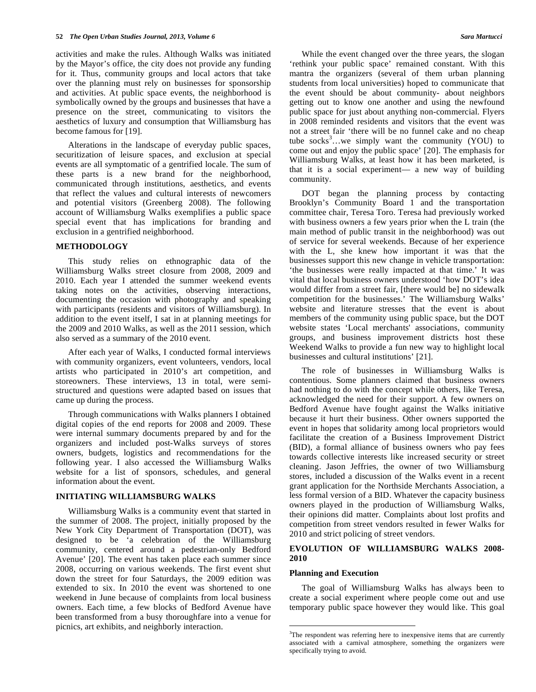activities and make the rules. Although Walks was initiated by the Mayor's office, the city does not provide any funding for it. Thus, community groups and local actors that take over the planning must rely on businesses for sponsorship and activities. At public space events, the neighborhood is symbolically owned by the groups and businesses that have a presence on the street, communicating to visitors the aesthetics of luxury and consumption that Williamsburg has become famous for [19].

 Alterations in the landscape of everyday public spaces, securitization of leisure spaces, and exclusion at special events are all symptomatic of a gentrified locale. The sum of these parts is a new brand for the neighborhood, communicated through institutions, aesthetics, and events that reflect the values and cultural interests of newcomers and potential visitors (Greenberg 2008). The following account of Williamsburg Walks exemplifies a public space special event that has implications for branding and exclusion in a gentrified neighborhood.

## **METHODOLOGY**

 This study relies on ethnographic data of the Williamsburg Walks street closure from 2008, 2009 and 2010. Each year I attended the summer weekend events taking notes on the activities, observing interactions, documenting the occasion with photography and speaking with participants (residents and visitors of Williamsburg). In addition to the event itself, I sat in at planning meetings for the 2009 and 2010 Walks, as well as the 2011 session, which also served as a summary of the 2010 event.

 After each year of Walks, I conducted formal interviews with community organizers, event volunteers, vendors, local artists who participated in 2010's art competition, and storeowners. These interviews, 13 in total, were semistructured and questions were adapted based on issues that came up during the process.

 Through communications with Walks planners I obtained digital copies of the end reports for 2008 and 2009. These were internal summary documents prepared by and for the organizers and included post-Walks surveys of stores owners, budgets, logistics and recommendations for the following year. I also accessed the Williamsburg Walks website for a list of sponsors, schedules, and general information about the event.

### **INITIATING WILLIAMSBURG WALKS**

 Williamsburg Walks is a community event that started in the summer of 2008. The project, initially proposed by the New York City Department of Transportation (DOT), was designed to be 'a celebration of the Williamsburg community, centered around a pedestrian-only Bedford Avenue' [20]. The event has taken place each summer since 2008, occurring on various weekends. The first event shut down the street for four Saturdays, the 2009 edition was extended to six. In 2010 the event was shortened to one weekend in June because of complaints from local business owners. Each time, a few blocks of Bedford Avenue have been transformed from a busy thoroughfare into a venue for picnics, art exhibits, and neighborly interaction.

While the event changed over the three years, the slogan 'rethink your public space' remained constant. With this mantra the organizers (several of them urban planning students from local universities) hoped to communicate that the event should be about community- about neighbors getting out to know one another and using the newfound public space for just about anything non-commercial. Flyers in 2008 reminded residents and visitors that the event was not a street fair 'there will be no funnel cake and no cheap tube socks<sup>3</sup>...we simply want the community (YOU) to come out and enjoy the public space' [20]. The emphasis for Williamsburg Walks, at least how it has been marketed, is that it is a social experiment— a new way of building community.

 DOT began the planning process by contacting Brooklyn's Community Board 1 and the transportation committee chair, Teresa Toro. Teresa had previously worked with business owners a few years prior when the L train (the main method of public transit in the neighborhood) was out of service for several weekends. Because of her experience with the L, she knew how important it was that the businesses support this new change in vehicle transportation: 'the businesses were really impacted at that time.' It was vital that local business owners understood 'how DOT's idea would differ from a street fair, [there would be] no sidewalk competition for the businesses.' The Williamsburg Walks' website and literature stresses that the event is about members of the community using public space, but the DOT website states 'Local merchants' associations, community groups, and business improvement districts host these Weekend Walks to provide a fun new way to highlight local businesses and cultural institutions' [21].

 The role of businesses in Williamsburg Walks is contentious. Some planners claimed that business owners had nothing to do with the concept while others, like Teresa, acknowledged the need for their support. A few owners on Bedford Avenue have fought against the Walks initiative because it hurt their business. Other owners supported the event in hopes that solidarity among local proprietors would facilitate the creation of a Business Improvement District (BID), a formal alliance of business owners who pay fees towards collective interests like increased security or street cleaning. Jason Jeffries, the owner of two Williamsburg stores, included a discussion of the Walks event in a recent grant application for the Northside Merchants Association, a less formal version of a BID. Whatever the capacity business owners played in the production of Williamsburg Walks, their opinions did matter. Complaints about lost profits and competition from street vendors resulted in fewer Walks for 2010 and strict policing of street vendors.

## **EVOLUTION OF WILLIAMSBURG WALKS 2008- 2010**

## **Planning and Execution**

1

 The goal of Williamsburg Walks has always been to create a social experiment where people come out and use temporary public space however they would like. This goal

<sup>&</sup>lt;sup>3</sup>The respondent was referring here to inexpensive items that are currently associated with a carnival atmosphere, something the organizers were specifically trying to avoid.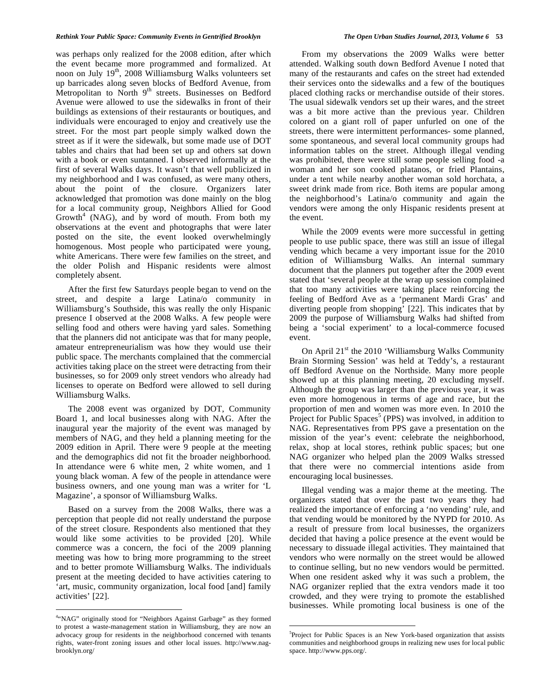#### *Rethink Your Public Space: Community Events in Gentrified Brooklyn The Open Urban Studies Journal, 2013, Volume 6* **53**

was perhaps only realized for the 2008 edition, after which the event became more programmed and formalized. At noon on July 19<sup>th</sup>, 2008 Williamsburg Walks volunteers set up barricades along seven blocks of Bedford Avenue, from Metropolitan to North 9<sup>th</sup> streets. Businesses on Bedford Avenue were allowed to use the sidewalks in front of their buildings as extensions of their restaurants or boutiques, and individuals were encouraged to enjoy and creatively use the street. For the most part people simply walked down the street as if it were the sidewalk, but some made use of DOT tables and chairs that had been set up and others sat down with a book or even suntanned. I observed informally at the first of several Walks days. It wasn't that well publicized in my neighborhood and I was confused, as were many others, about the point of the closure. Organizers later acknowledged that promotion was done mainly on the blog for a local community group, Neighbors Allied for Good Growth<sup>4</sup> (NAG), and by word of mouth. From both my observations at the event and photographs that were later posted on the site, the event looked overwhelmingly homogenous. Most people who participated were young, white Americans. There were few families on the street, and the older Polish and Hispanic residents were almost completely absent.

 After the first few Saturdays people began to vend on the street, and despite a large Latina/o community in Williamsburg's Southside, this was really the only Hispanic presence I observed at the 2008 Walks. A few people were selling food and others were having yard sales. Something that the planners did not anticipate was that for many people, amateur entrepreneurialism was how they would use their public space. The merchants complained that the commercial activities taking place on the street were detracting from their businesses, so for 2009 only street vendors who already had licenses to operate on Bedford were allowed to sell during Williamsburg Walks.

 The 2008 event was organized by DOT, Community Board 1, and local businesses along with NAG. After the inaugural year the majority of the event was managed by members of NAG, and they held a planning meeting for the 2009 edition in April. There were 9 people at the meeting and the demographics did not fit the broader neighborhood. In attendance were 6 white men, 2 white women, and 1 young black woman. A few of the people in attendance were business owners, and one young man was a writer for 'L Magazine', a sponsor of Williamsburg Walks.

 Based on a survey from the 2008 Walks, there was a perception that people did not really understand the purpose of the street closure. Respondents also mentioned that they would like some activities to be provided [20]. While commerce was a concern, the foci of the 2009 planning meeting was how to bring more programming to the street and to better promote Williamsburg Walks. The individuals present at the meeting decided to have activities catering to 'art, music, community organization, local food [and] family activities' [22].

 $\overline{a}$ 

 From my observations the 2009 Walks were better attended. Walking south down Bedford Avenue I noted that many of the restaurants and cafes on the street had extended their services onto the sidewalks and a few of the boutiques placed clothing racks or merchandise outside of their stores. The usual sidewalk vendors set up their wares, and the street was a bit more active than the previous year. Children colored on a giant roll of paper unfurled on one of the streets, there were intermittent performances- some planned, some spontaneous, and several local community groups had information tables on the street. Although illegal vending was prohibited, there were still some people selling food -a woman and her son cooked platanos, or fried Plantains, under a tent while nearby another woman sold horchata, a sweet drink made from rice. Both items are popular among the neighborhood's Latina/o community and again the vendors were among the only Hispanic residents present at the event.

 While the 2009 events were more successful in getting people to use public space, there was still an issue of illegal vending which became a very important issue for the 2010 edition of Williamsburg Walks. An internal summary document that the planners put together after the 2009 event stated that 'several people at the wrap up session complained that too many activities were taking place reinforcing the feeling of Bedford Ave as a 'permanent Mardi Gras' and diverting people from shopping' [22]. This indicates that by 2009 the purpose of Williamsburg Walks had shifted from being a 'social experiment' to a local-commerce focused event.

On April  $21<sup>st</sup>$  the 2010 'Williamsburg Walks Community Brain Storming Session' was held at Teddy's, a restaurant off Bedford Avenue on the Northside. Many more people showed up at this planning meeting, 20 excluding myself. Although the group was larger than the previous year, it was even more homogenous in terms of age and race, but the proportion of men and women was more even. In 2010 the Project for Public Spaces<sup>5</sup> (PPS) was involved, in addition to NAG. Representatives from PPS gave a presentation on the mission of the year's event: celebrate the neighborhood, relax, shop at local stores, rethink public spaces; but one NAG organizer who helped plan the 2009 Walks stressed that there were no commercial intentions aside from encouraging local businesses.

 Illegal vending was a major theme at the meeting. The organizers stated that over the past two years they had realized the importance of enforcing a 'no vending' rule, and that vending would be monitored by the NYPD for 2010. As a result of pressure from local businesses, the organizers decided that having a police presence at the event would be necessary to dissuade illegal activities. They maintained that vendors who were normally on the street would be allowed to continue selling, but no new vendors would be permitted. When one resident asked why it was such a problem, the NAG organizer replied that the extra vendors made it too crowded, and they were trying to promote the established businesses. While promoting local business is one of the

1

<sup>&</sup>lt;sup>4</sup>"NAG" originally stood for "Neighbors Against Garbage" as they formed to protest a waste-management station in Williamsburg, they are now an advocacy group for residents in the neighborhood concerned with tenants rights, water-front zoning issues and other local issues. http://www.nagbrooklyn.org/

<sup>&</sup>lt;sup>5</sup>Project for Public Spaces is an New York-based organization that assists communities and neighborhood groups in realizing new uses for local public space. http://www.pps.org/.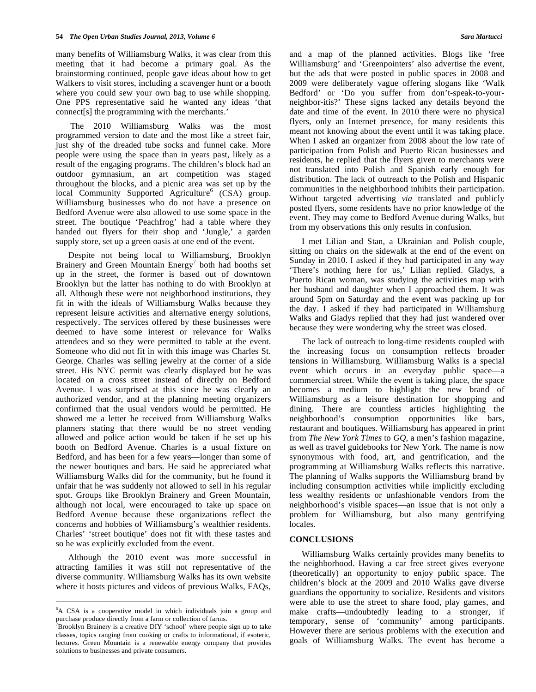many benefits of Williamsburg Walks, it was clear from this meeting that it had become a primary goal. As the brainstorming continued, people gave ideas about how to get Walkers to visit stores, including a scavenger hunt or a booth where you could sew your own bag to use while shopping. One PPS representative said he wanted any ideas 'that connect[s] the programming with the merchants.'

 The 2010 Williamsburg Walks was the most programmed version to date and the most like a street fair, just shy of the dreaded tube socks and funnel cake. More people were using the space than in years past, likely as a result of the engaging programs. The children's block had an outdoor gymnasium, an art competition was staged throughout the blocks, and a picnic area was set up by the local Community Supported Agriculture<sup>6</sup> (CSA) group. Williamsburg businesses who do not have a presence on Bedford Avenue were also allowed to use some space in the street. The boutique 'Peachfrog' had a table where they handed out flyers for their shop and 'Jungle,' a garden supply store, set up a green oasis at one end of the event.

 Despite not being local to Williamsburg, Brooklyn Brainery and Green Mountain  $Energy<sup>7</sup>$  both had booths set up in the street, the former is based out of downtown Brooklyn but the latter has nothing to do with Brooklyn at all. Although these were not neighborhood institutions, they fit in with the ideals of Williamsburg Walks because they represent leisure activities and alternative energy solutions, respectively. The services offered by these businesses were deemed to have some interest or relevance for Walks attendees and so they were permitted to table at the event. Someone who did not fit in with this image was Charles St. George. Charles was selling jewelry at the corner of a side street. His NYC permit was clearly displayed but he was located on a cross street instead of directly on Bedford Avenue. I was surprised at this since he was clearly an authorized vendor, and at the planning meeting organizers confirmed that the usual vendors would be permitted. He showed me a letter he received from Williamsburg Walks planners stating that there would be no street vending allowed and police action would be taken if he set up his booth on Bedford Avenue. Charles is a usual fixture on Bedford, and has been for a few years—longer than some of the newer boutiques and bars. He said he appreciated what Williamsburg Walks did for the community, but he found it unfair that he was suddenly not allowed to sell in his regular spot. Groups like Brooklyn Brainery and Green Mountain, although not local, were encouraged to take up space on Bedford Avenue because these organizations reflect the concerns and hobbies of Williamsburg's wealthier residents. Charles' 'street boutique' does not fit with these tastes and so he was explicitly excluded from the event.

 Although the 2010 event was more successful in attracting families it was still not representative of the diverse community. Williamsburg Walks has its own website where it hosts pictures and videos of previous Walks, FAQs,

 $\overline{a}$ 

and a map of the planned activities. Blogs like 'free Williamsburg' and 'Greenpointers' also advertise the event, but the ads that were posted in public spaces in 2008 and 2009 were deliberately vague offering slogans like 'Walk Bedford' or 'Do you suffer from don't-speak-to-yourneighbor-itis?' These signs lacked any details beyond the date and time of the event. In 2010 there were no physical flyers, only an Internet presence, for many residents this meant not knowing about the event until it was taking place. When I asked an organizer from 2008 about the low rate of participation from Polish and Puerto Rican businesses and residents, he replied that the flyers given to merchants were not translated into Polish and Spanish early enough for distribution. The lack of outreach to the Polish and Hispanic communities in the neighborhood inhibits their participation. Without targeted advertising *via* translated and publicly posted flyers, some residents have no prior knowledge of the event. They may come to Bedford Avenue during Walks, but from my observations this only results in confusion*.*

 I met Lilian and Stan, a Ukrainian and Polish couple, sitting on chairs on the sidewalk at the end of the event on Sunday in 2010. I asked if they had participated in any way 'There's nothing here for us,' Lilian replied. Gladys, a Puerto Rican woman, was studying the activities map with her husband and daughter when I approached them. It was around 5pm on Saturday and the event was packing up for the day. I asked if they had participated in Williamsburg Walks and Gladys replied that they had just wandered over because they were wondering why the street was closed.

 The lack of outreach to long-time residents coupled with the increasing focus on consumption reflects broader tensions in Williamsburg. Williamsburg Walks is a special event which occurs in an everyday public space—a commercial street. While the event is taking place, the space becomes a medium to highlight the new brand of Williamsburg as a leisure destination for shopping and dining. There are countless articles highlighting the neighborhood's consumption opportunities like bars, restaurant and boutiques. Williamsburg has appeared in print from *The New York Times* to *GQ,* a men's fashion magazine, as well as travel guidebooks for New York. The name is now synonymous with food, art, and gentrification, and the programming at Williamsburg Walks reflects this narrative. The planning of Walks supports the Williamsburg brand by including consumption activities while implicitly excluding less wealthy residents or unfashionable vendors from the neighborhood's visible spaces—an issue that is not only a problem for Williamsburg, but also many gentrifying locales.

## **CONCLUSIONS**

 Williamsburg Walks certainly provides many benefits to the neighborhood. Having a car free street gives everyone (theoretically) an opportunity to enjoy public space. The children's block at the 2009 and 2010 Walks gave diverse guardians the opportunity to socialize. Residents and visitors were able to use the street to share food, play games, and make crafts—undoubtedly leading to a stronger, if temporary, sense of 'community' among participants. However there are serious problems with the execution and goals of Williamsburg Walks. The event has become a

<sup>6</sup> A CSA is a cooperative model in which individuals join a group and purchase produce directly from a farm or collection of farms.

<sup>&</sup>lt;sup>7</sup>Brooklyn Brainery is a creative DIY 'school' where people sign up to take classes, topics ranging from cooking or crafts to informational, if esoteric, lectures. Green Mountain is a renewable energy company that provides solutions to businesses and private consumers.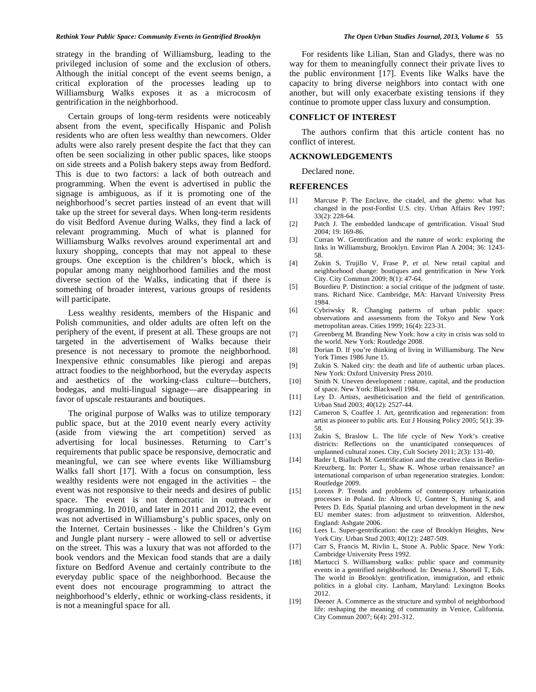#### *Rethink Your Public Space: Community Events in Gentrified Brooklyn The Open Urban Studies Journal, 2013, Volume 6* **55**

strategy in the branding of Williamsburg, leading to the privileged inclusion of some and the exclusion of others. Although the initial concept of the event seems benign, a critical exploration of the processes leading up to Williamsburg Walks exposes it as a microcosm of gentrification in the neighborhood.

 Certain groups of long-term residents were noticeably absent from the event, specifically Hispanic and Polish residents who are often less wealthy than newcomers. Older adults were also rarely present despite the fact that they can often be seen socializing in other public spaces, like stoops on side streets and a Polish bakery steps away from Bedford. This is due to two factors: a lack of both outreach and programming. When the event is advertised in public the signage is ambiguous, as if it is promoting one of the neighborhood's secret parties instead of an event that will take up the street for several days. When long-term residents do visit Bedford Avenue during Walks, they find a lack of relevant programming. Much of what is planned for Williamsburg Walks revolves around experimental art and luxury shopping, concepts that may not appeal to these groups. One exception is the children's block, which is popular among many neighborhood families and the most diverse section of the Walks, indicating that if there is something of broader interest, various groups of residents will participate.

 Less wealthy residents, members of the Hispanic and Polish communities, and older adults are often left on the periphery of the event, if present at all. These groups are not targeted in the advertisement of Walks because their presence is not necessary to promote the neighborhood. Inexpensive ethnic consumables like pierogi and arepas attract foodies to the neighborhood, but the everyday aspects and aesthetics of the working-class culture—butchers, bodegas, and multi-lingual signage—are disappearing in favor of upscale restaurants and boutiques.

 The original purpose of Walks was to utilize temporary public space, but at the 2010 event nearly every activity (aside from viewing the art competition) served as advertising for local businesses. Returning to Carr's requirements that public space be responsive, democratic and meaningful, we can see where events like Williamsburg Walks fall short [17]. With a focus on consumption, less wealthy residents were not engaged in the activities – the event was not responsive to their needs and desires of public space. The event is not democratic in outreach or programming. In 2010, and later in 2011 and 2012, the event was not advertised in Williamsburg's public spaces, only on the Internet. Certain businesses - like the Children's Gym and Jungle plant nursery - were allowed to sell or advertise on the street. This was a luxury that was not afforded to the book vendors and the Mexican food stands that are a daily fixture on Bedford Avenue and certainly contribute to the everyday public space of the neighborhood. Because the event does not encourage programming to attract the neighborhood's elderly, ethnic or working-class residents, it is not a meaningful space for all.

 For residents like Lilian, Stan and Gladys, there was no way for them to meaningfully connect their private lives to the public environment [17]. Events like Walks have the capacity to bring diverse neighbors into contact with one another, but will only exacerbate existing tensions if they continue to promote upper class luxury and consumption.

## **CONFLICT OF INTEREST**

 The authors confirm that this article content has no conflict of interest.

#### **ACKNOWLEDGEMENTS**

Declared none.

#### **REFERENCES**

- [1] Marcuse P. The Enclave, the citadel, and the ghetto: what has changed in the post-Fordist U.S. city. Urban Affairs Rev 1997; 33(2): 228-64.
- [2] Patch J. The embedded landscape of gentrification. Visual Stud 2004; 19: 169-86.
- [3] Curran W. Gentrification and the nature of work: exploring the links in Williamsburg, Brooklyn. Environ Plan A 2004; 36: 1243- 58.
- [4] Zukin S, Trujillo V, Frase P, *et al*. New retail capital and neighborhood change: boutiques and gentrification in New York City. City Commun 2009; 8(1): 47-64.
- [5] Bourdieu P. Distinction: a social critique of the judgment of taste. trans. Richard Nice. Cambridge, MA: Harvard University Press 1984.
- [6] Cybriwsky R. Changing patterns of urban public space: observations and assessments from the Tokyo and New York metropolitan areas. Cities 1999; 16(4): 223-31.
- [7] Greenberg M. Branding New York: how a city in crisis was sold to the world. New York: Routledge 2008.
- [8] Dorian D. If you're thinking of living in Williamsburg. The New York Times 1986 June 15.
- [9] Zukin S. Naked city: the death and life of authentic urban places. New York: Oxford University Press 2010.
- [10] Smith N. Uneven development : nature, capital, and the production of space. New York: Blackwell 1984.
- [11] Ley D. Artists, aestheticisation and the field of gentrification. Urban Stud 2003; 40(12): 2527-44.
- [12] Cameron S, Coaffee J. Art, gentrification and regeneration: from artist as pioneer to public arts. Eur J Housing Policy 2005; 5(1): 39- 58.
- [13] Zukin S, Braslow L. The life cycle of New York's creative districts: Reflections on the unanticipated consequences of unplanned cultural zones. City, Cult Society 2011; 2(3): 131-40.
- [14] Bader I, Bialluch M. Gentrification and the creative class in Berlin-Kreuzberg. In: Porter L, Shaw K. Whose urban renaissance? an international comparison of urban regeneration strategies. London: Routledge 2009.
- [15] Lorens P. Trends and problems of contemporary urbanization processes in Poland. In: Altrock U, Guntner S, Huning S, and Peters D. Eds. Spatial planning and urban development in the new EU member states: from adjustment to reinvention. Aldershot, England: Ashgate 2006.
- [16] Lees L. Super-gentrification: the case of Brooklyn Heights, New York City. Urban Stud 2003; 40(12): 2487-509.
- [17] Carr S, Francis M, Rivlin L, Stone A. Public Space. New York: Cambridge University Press 1992.
- [18] Martucci S. Williamsburg walks: public space and community events in a gentrified neighborhood. In: Desena J, Shortell T, Eds. The world in Brooklyn: gentrification, immigration, and ethnic politics in a global city. Lanham, Maryland: Lexington Books 2012.
- [19] Deener A. Commerce as the structure and symbol of neighborhood life: reshaping the meaning of community in Venice, California. City Commun 2007; 6(4): 291-312.